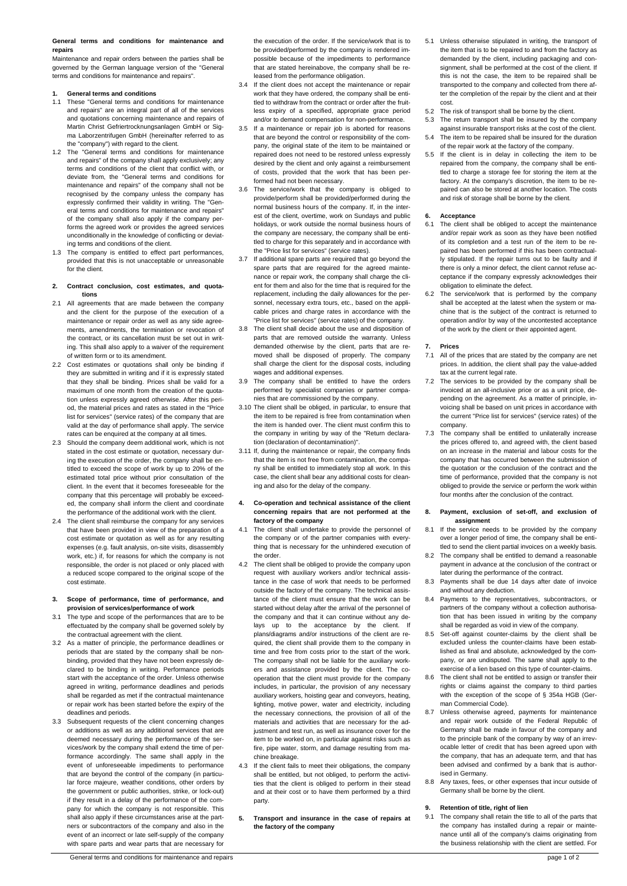# **General terms and conditions for maintenance and repairs**

Maintenance and repair orders between the parties shall be governed by the German language version of the "General terms and conditions for maintenance and repairs".

# **1. General terms and conditions**

- 1.1 These "General terms and conditions for maintenance and repairs" are an integral part of all of the services and quotations concerning maintenance and repairs of Martin Christ Gefriertrocknungsanlagen GmbH or Sigma Laborzentrifugen GmbH (hereinafter referred to as the "company") with regard to the client.
- 1.2 The "General terms and conditions for maintenance and repairs" of the company shall apply exclusively; any terms and conditions of the client that conflict with, or deviate from, the "General terms and conditions for maintenance and repairs" of the company shall not be recognised by the company unless the company has expressly confirmed their validity in writing. The "General terms and conditions for maintenance and repairs" of the company shall also apply if the company performs the agreed work or provides the agreed services unconditionally in the knowledge of conflicting or deviating terms and conditions of the client.
- 1.3 The company is entitled to effect part performances, provided that this is not unacceptable or unreasonable for the client.

#### **2. Contract conclusion, cost estimates, and quotations**

- 2.1 All agreements that are made between the company and the client for the purpose of the execution of a maintenance or repair order as well as any side agreements, amendments, the termination or revocation of the contract, or its cancellation must be set out in writing. This shall also apply to a waiver of the requirement of written form or to its amendment.
- 2.2 Cost estimates or quotations shall only be binding if they are submitted in writing and if it is expressly stated that they shall be binding. Prices shall be valid for a maximum of one month from the creation of the quotation unless expressly agreed otherwise. After this period, the material prices and rates as stated in the "Price list for services" (service rates) of the company that are valid at the day of performance shall apply. The service rates can be enquired at the company at all times.
- 2.3 Should the company deem additional work, which is not stated in the cost estimate or quotation, necessary during the execution of the order, the company shall be entitled to exceed the scope of work by up to 20% of the estimated total price without prior consultation of the client. In the event that it becomes foreseeable for the company that this percentage will probably be exceeded, the company shall inform the client and coordinate the performance of the additional work with the client.
- 2.4 The client shall reimburse the company for any services that have been provided in view of the preparation of a cost estimate or quotation as well as for any resulting expenses (e.g. fault analysis, on-site visits, disassembly work, etc.) if, for reasons for which the company is not responsible, the order is not placed or only placed with a reduced scope compared to the original scope of the cost estimate.

## **3. Scope of performance, time of performance, and provision of services/performance of work**

- 3.1 The type and scope of the performances that are to be effectuated by the company shall be governed solely by the contractual agreement with the client.
- 3.2 As a matter of principle, the performance deadlines or periods that are stated by the company shall be nonbinding, provided that they have not been expressly declared to be binding in writing. Performance periods start with the acceptance of the order. Unless otherwise agreed in writing, performance deadlines and periods shall be regarded as met if the contractual maintenance or repair work has been started before the expiry of the deadlines and periods.
- 3.3 Subsequent requests of the client concerning changes or additions as well as any additional services that are deemed necessary during the performance of the services/work by the company shall extend the time of performance accordingly. The same shall apply in the event of unforeseeable impediments to performance that are beyond the control of the company (in particular force majeure, weather conditions, other orders by the government or public authorities, strike, or lock-out) if they result in a delay of the performance of the company for which the company is not responsible. This shall also apply if these circumstances arise at the partners or subcontractors of the company and also in the event of an incorrect or late self-supply of the company with spare parts and wear parts that are necessary for

the execution of the order. If the service/work that is to be provided/performed by the company is rendered impossible because of the impediments to performance that are stated hereinabove, the company shall be released from the performance obligation.

- 3.4 If the client does not accept the maintenance or repair work that they have ordered, the company shall be entitled to withdraw from the contract or order after the fruitless expiry of a specified, appropriate grace period and/or to demand compensation for non-performance.
- 3.5 If a maintenance or repair job is aborted for reasons that are beyond the control or responsibility of the company, the original state of the item to be maintained or repaired does not need to be restored unless expressly desired by the client and only against a reimbursement of costs, provided that the work that has been performed had not been necessary.
- 3.6 The service/work that the company is obliged to provide/perform shall be provided/performed during the normal business hours of the company. If, in the interest of the client, overtime, work on Sundays and public holidays, or work outside the normal business hours of the company are necessary, the company shall be entitled to charge for this separately and in accordance with the "Price list for services" (service rates).
- 3.7 If additional spare parts are required that go beyond the spare parts that are required for the agreed maintenance or repair work, the company shall charge the client for them and also for the time that is required for the replacement, including the daily allowances for the personnel, necessary extra tours, etc., based on the applicable prices and charge rates in accordance with the "Price list for services" (service rates) of the company.
- 3.8 The client shall decide about the use and disposition of parts that are removed outside the warranty. Unless demanded otherwise by the client, parts that are removed shall be disposed of properly. The company shall charge the client for the disposal costs, including wages and additional expenses.
- 3.9 The company shall be entitled to have the orders performed by specialist companies or partner companies that are commissioned by the company.
- 3.10 The client shall be obliged, in particular, to ensure that the item to be repaired is free from contamination when the item is handed over. The client must confirm this to the company in writing by way of the "Return declaration (declaration of decontamination)".
- 3.11 If, during the maintenance or repair, the company finds that the item is not free from contamination, the company shall be entitled to immediately stop all work. In this case, the client shall bear any additional costs for cleaning and also for the delay of the company.
- **4. Co-operation and technical assistance of the client concerning repairs that are not performed at the factory of the company**
- 4.1 The client shall undertake to provide the personnel of the company or of the partner companies with everything that is necessary for the unhindered execution of the order.
- 4.2 The client shall be obliged to provide the company upon request with auxiliary workers and/or technical assistance in the case of work that needs to be performed outside the factory of the company. The technical assistance of the client must ensure that the work can be started without delay after the arrival of the personnel of the company and that it can continue without any delays up to the acceptance by the client. If plans/diagrams and/or instructions of the client are required, the client shall provide them to the company in time and free from costs prior to the start of the work. The company shall not be liable for the auxiliary workers and assistance provided by the client. The cooperation that the client must provide for the company includes, in particular, the provision of any necessary auxiliary workers, hoisting gear and conveyors, heating, lighting, motive power, water and electricity, including the necessary connections, the provision of all of the materials and activities that are necessary for the adjustment and test run, as well as insurance cover for the item to be worked on, in particular against risks such as fire, pipe water, storm, and damage resulting from machine breakage.
- 4.3 If the client fails to meet their obligations, the company shall be entitled, but not obliged, to perform the activities that the client is obliged to perform in their stead and at their cost or to have them performed by a third party.
- **5. Transport and insurance in the case of repairs at the factory of the company**
- 5.1 Unless otherwise stipulated in writing, the transport of the item that is to be repaired to and from the factory as demanded by the client, including packaging and consignment, shall be performed at the cost of the client. If this is not the case, the item to be repaired shall be transported to the company and collected from there after the completion of the repair by the client and at their cost.
- 5.2 The risk of transport shall be borne by the client.
- 5.3 The return transport shall be insured by the company against insurable transport risks at the cost of the client.
- 5.4 The item to be repaired shall be insured for the duration of the repair work at the factory of the company.
- 5.5 If the client is in delay in collecting the item to be repaired from the company, the company shall be entitled to charge a storage fee for storing the item at the factory. At the company's discretion, the item to be repaired can also be stored at another location. The costs and risk of storage shall be borne by the client.

# **6. Acceptance**

- The client shall be obliged to accept the maintenance and/or repair work as soon as they have been notified of its completion and a test run of the item to be repaired has been performed if this has been contractually stipulated. If the repair turns out to be faulty and if there is only a minor defect, the client cannot refuse acceptance if the company expressly acknowledges their obligation to eliminate the defect.
- 6.2 The service/work that is performed by the company shall be accepted at the latest when the system or machine that is the subject of the contract is returned to operation and/or by way of the uncontested acceptance of the work by the client or their appointed agent.

# **7. Prices**

- 7.1 All of the prices that are stated by the company are net prices. In addition, the client shall pay the value-added .<br>tax at the current legal rate.
- 7.2 The services to be provided by the company shall be invoiced at an all-inclusive price or as a unit price, depending on the agreement. As a matter of principle, invoicing shall be based on unit prices in accordance with the current "Price list for services" (service rates) of the company.
- 7.3 The company shall be entitled to unilaterally increase the prices offered to, and agreed with, the client based on an increase in the material and labour costs for the company that has occurred between the submission of the quotation or the conclusion of the contract and the time of performance, provided that the company is not obliged to provide the service or perform the work within four months after the conclusion of the contract.

#### **8. Payment, exclusion of set-off, and exclusion of assignment**

- 8.1 If the service needs to be provided by the company over a longer period of time, the company shall be entitled to send the client partial invoices on a weekly basis.
- The company shall be entitled to demand a reasonable payment in advance at the conclusion of the contract or later during the performance of the contract.
- 8.3 Payments shall be due 14 days after date of invoice and without any deduction.
- 8.4 Payments to the representatives, subcontractors, or partners of the company without a collection authorisation that has been issued in writing by the company shall be regarded as void in view of the company.
- 8.5 Set-off against counter-claims by the client shall be excluded unless the counter-claims have been established as final and absolute, acknowledged by the company, or are undisputed. The same shall apply to the exercise of a lien based on this type of counter-claims.
- 8.6 The client shall not be entitled to assign or transfer their rights or claims against the company to third parties with the exception of the scope of § 354a HGB (German Commercial Code).
- 8.7 Unless otherwise agreed, payments for maintenance and repair work outside of the Federal Republic of Germany shall be made in favour of the company and to the principle bank of the company by way of an irrevocable letter of credit that has been agreed upon with the company, that has an adequate term, and that has been advised and confirmed by a bank that is authorised in Germany.
- 8.8 Any taxes, fees, or other expenses that incur outside of Germany shall be borne by the client.

## **9. Retention of title, right of lien**

9.1 The company shall retain the title to all of the parts that the company has installed during a repair or maintenance until all of the company's claims originating from the business relationship with the client are settled. For